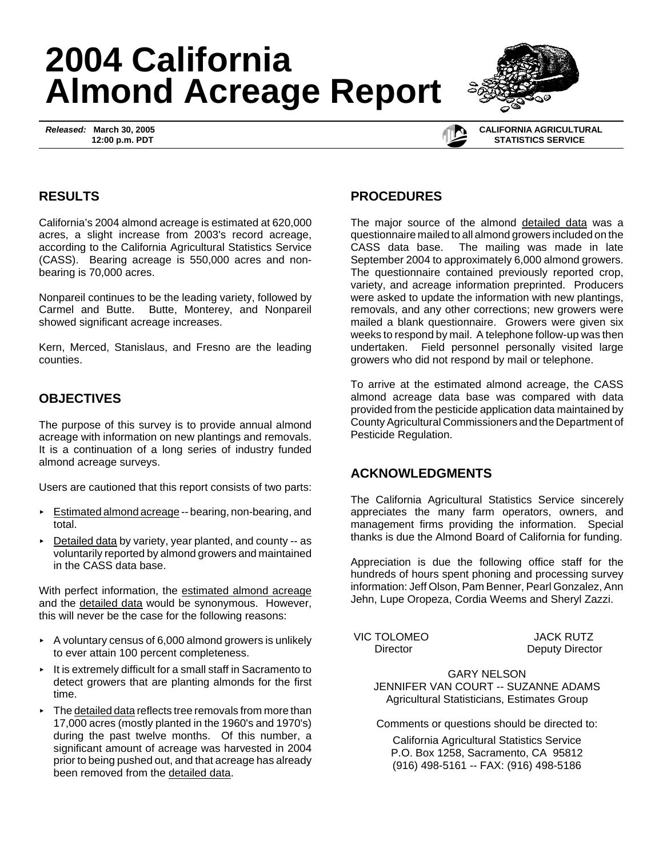# **2004 California Almond Acreage Report**

*Released:* **March 30, 2005 12:00 p.m. PDT**



#### **CALIFORNIA AGRICULTURAL STATISTICS SERVICE**

### **RESULTS**

California's 2004 almond acreage is estimated at 620,000 acres, a slight increase from 2003's record acreage, according to the California Agricultural Statistics Service (CASS). Bearing acreage is 550,000 acres and nonbearing is 70,000 acres.

Nonpareil continues to be the leading variety, followed by Carmel and Butte. Butte, Monterey, and Nonpareil showed significant acreage increases.

Kern, Merced, Stanislaus, and Fresno are the leading counties.

## **OBJECTIVES**

The purpose of this survey is to provide annual almond acreage with information on new plantings and removals. It is a continuation of a long series of industry funded almond acreage surveys.

Users are cautioned that this report consists of two parts:

- Estimated almond acreage -- bearing, non-bearing, and total.
- Detailed data by variety, year planted, and county -- as voluntarily reported by almond growers and maintained in the CASS data base.

With perfect information, the estimated almond acreage and the detailed data would be synonymous. However, this will never be the case for the following reasons:

- $\sim$  A voluntary census of 6,000 almond growers is unlikely to ever attain 100 percent completeness.
- $\cdot$  It is extremely difficult for a small staff in Sacramento to detect growers that are planting almonds for the first time.
- $\triangleright$  The detailed data reflects tree removals from more than 17,000 acres (mostly planted in the 1960's and 1970's) during the past twelve months. Of this number, a significant amount of acreage was harvested in 2004 prior to being pushed out, and that acreage has already been removed from the detailed data.

## **PROCEDURES**

The major source of the almond detailed data was a questionnaire mailed to all almond growers included on the CASS data base. The mailing was made in late September 2004 to approximately 6,000 almond growers. The questionnaire contained previously reported crop, variety, and acreage information preprinted. Producers were asked to update the information with new plantings, removals, and any other corrections; new growers were mailed a blank questionnaire. Growers were given six weeks to respond by mail. A telephone follow-up was then undertaken. Field personnel personally visited large growers who did not respond by mail or telephone.

To arrive at the estimated almond acreage, the CASS almond acreage data base was compared with data provided from the pesticide application data maintained by County Agricultural Commissioners and the Department of Pesticide Regulation.

### **ACKNOWLEDGMENTS**

The California Agricultural Statistics Service sincerely appreciates the many farm operators, owners, and management firms providing the information. Special thanks is due the Almond Board of California for funding.

Appreciation is due the following office staff for the hundreds of hours spent phoning and processing survey information: Jeff Olson, Pam Benner, Pearl Gonzalez, Ann Jehn, Lupe Oropeza, Cordia Weems and Sheryl Zazzi.

VIC TOLOMEO JACK RUTZ

Director Deputy Director

GARY NELSON JENNIFER VAN COURT -- SUZANNE ADAMS Agricultural Statisticians, Estimates Group

Comments or questions should be directed to:

California Agricultural Statistics Service P.O. Box 1258, Sacramento, CA 95812 (916) 498-5161 -- FAX: (916) 498-5186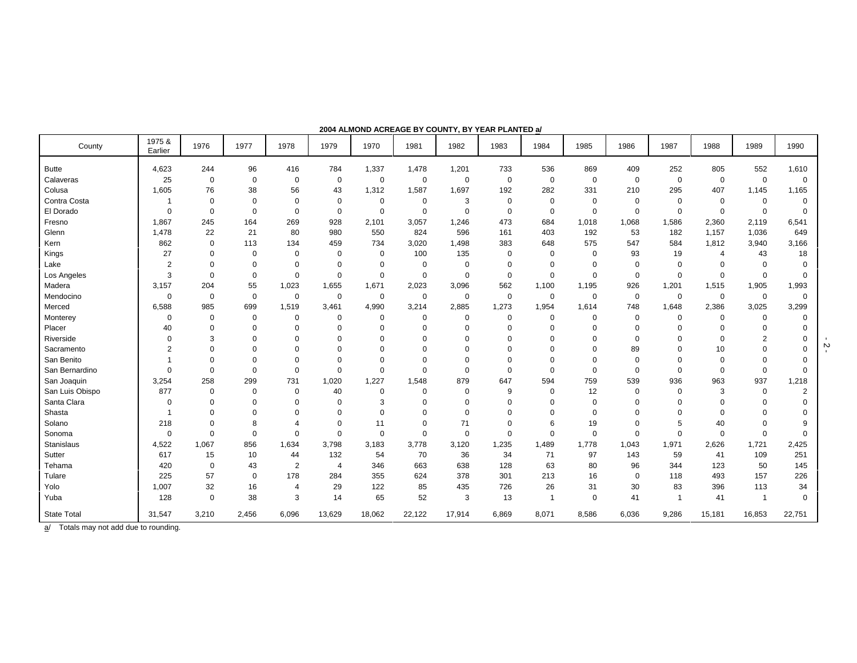| County             | 1975 &<br>Earlier | 1976        | 1977        | 1978           | 1979           | 1970        | 1981        | 1982        | 1983        | 1984         | 1985        | 1986        | 1987     | 1988                     | 1989                    | 1990           |
|--------------------|-------------------|-------------|-------------|----------------|----------------|-------------|-------------|-------------|-------------|--------------|-------------|-------------|----------|--------------------------|-------------------------|----------------|
| <b>Butte</b>       | 4,623             | 244         | 96          | 416            | 784            | 1,337       | 1,478       | 1,201       | 733         | 536          | 869         | 409         | 252      | 805                      | 552                     | 1,610          |
| Calaveras          | 25                | 0           | $\mathbf 0$ | $\mathbf 0$    | $\mathbf 0$    | $\mathbf 0$ | $\mathbf 0$ | 0           | $\mathbf 0$ | $\mathbf 0$  | $\mathbf 0$ | $\mathbf 0$ | 0        | $\mathbf 0$              | $\mathbf 0$             | $\mathbf 0$    |
| Colusa             | 1,605             | 76          | 38          | 56             | 43             | 1,312       | 1,587       | 1,697       | 192         | 282          | 331         | 210         | 295      | 407                      | 1,145                   | 1,165          |
| Contra Costa       |                   | $\mathbf 0$ | $\mathbf 0$ | $\mathbf 0$    | $\mathbf 0$    | 0           | 0           | 3           | $\mathbf 0$ | $\Omega$     | $\Omega$    | $\Omega$    | $\Omega$ | $\Omega$                 | $\Omega$                | O              |
| El Dorado          | $\mathbf 0$       | $\mathbf 0$ | $\mathbf 0$ | $\mathbf 0$    | $\mathbf 0$    | $\mathbf 0$ | $\mathbf 0$ | $\mathbf 0$ | $\mathbf 0$ | $\mathbf 0$  | $\mathbf 0$ | $\mathbf 0$ | $\Omega$ | $\mathbf 0$              | $\mathbf 0$             | $\Omega$       |
| Fresno             | 1,867             | 245         | 164         | 269            | 928            | 2,101       | 3,057       | 1,246       | 473         | 684          | 1,018       | 1,068       | 1,586    | 2,360                    | 2,119                   | 6,541          |
| Glenn              | 1,478             | 22          | 21          | 80             | 980            | 550         | 824         | 596         | 161         | 403          | 192         | 53          | 182      | 1,157                    | 1,036                   | 649            |
| Kern               | 862               | 0           | 113         | 134            | 459            | 734         | 3,020       | 1,498       | 383         | 648          | 575         | 547         | 584      | 1,812                    | 3,940                   | 3,166          |
| Kings              | 27                | 0           | $\mathbf 0$ | $\mathbf 0$    | 0              | $\mathbf 0$ | 100         | 135         | $\mathbf 0$ | $\Omega$     | $\Omega$    | 93          | 19       | $\overline{\mathcal{A}}$ | 43                      | 18             |
| Lake               | $\overline{2}$    | 0           | $\mathbf 0$ | $\mathbf 0$    | 0              | 0           | 0           | $\mathbf 0$ | $\mathbf 0$ | $\Omega$     | $\Omega$    | $\Omega$    | $\Omega$ | $\Omega$                 | $\Omega$                |                |
| Los Angeles        | 3                 | $\mathbf 0$ | $\mathbf 0$ | $\mathbf 0$    | $\mathbf 0$    | $\mathbf 0$ | $\mathbf 0$ | 0           | $\mathbf 0$ | $\mathbf 0$  | $\mathbf 0$ | $\mathbf 0$ | $\Omega$ | $\mathbf 0$              | $\mathbf 0$             | $\Omega$       |
| Madera             | 3,157             | 204         | 55          | 1,023          | 1,655          | 1,671       | 2,023       | 3,096       | 562         | 1,100        | 1,195       | 926         | 1,201    | 1,515                    | 1,905                   | 1,993          |
| Mendocino          | 0                 | 0           | $\mathbf 0$ | $\mathbf 0$    | $\mathbf 0$    | 0           | 0           | 0           | $\mathbf 0$ | $\mathbf 0$  | 0           | $\mathbf 0$ | 0        | 0                        | 0                       | $\Omega$       |
| Merced             | 6,588             | 985         | 699         | 1,519          | 3,461          | 4,990       | 3,214       | 2,885       | 1,273       | 1,954        | 1,614       | 748         | 1,648    | 2,386                    | 3,025                   | 3,299          |
| Monterey           | 0                 | 0           | $\pmb{0}$   | $\mathbf 0$    | 0              | $\mathbf 0$ | 0           | 0           | $\mathbf 0$ | $\Omega$     | $\Omega$    | $\mathbf 0$ | 0        | 0                        | 0                       | $\Omega$       |
| Placer             | 40                | 0           | $\mathbf 0$ | $\mathbf 0$    | $\mathbf 0$    | $\mathbf 0$ | $\Omega$    | $\Omega$    | $\mathbf 0$ | $\Omega$     | $\Omega$    | $\Omega$    | $\Omega$ | $\Omega$                 | $\mathbf 0$             |                |
| Riverside          | $\Omega$          | 3           | $\Omega$    | $\Omega$       | $\Omega$       | $\Omega$    | $\Omega$    | $\Omega$    | $\Omega$    |              | $\Omega$    | $\Omega$    |          | $\Omega$                 | $\overline{2}$          |                |
| Sacramento         | $\overline{2}$    | $\Omega$    | $\Omega$    | $\Omega$       | $\Omega$       | $\Omega$    | $\Omega$    | $\Omega$    | $\Omega$    |              | $\Omega$    | 89          |          | 10                       | 0                       |                |
| San Benito         |                   | 0           | $\mathbf 0$ | $\mathbf 0$    | $^{\circ}$     | $\mathbf 0$ | $\Omega$    | $\Omega$    | $\Omega$    | $\Omega$     | $\Omega$    | $\mathbf 0$ | $\Omega$ | $\mathbf 0$              | 0                       |                |
| San Bernardino     | $\Omega$          | 0           | $\mathbf 0$ | $\mathbf 0$    | $\Omega$       | $\Omega$    | $\Omega$    | 0           | $\Omega$    | $\Omega$     | $\Omega$    | $\mathbf 0$ | $\Omega$ | $\mathbf 0$              | $\mathbf 0$             | $\Omega$       |
| San Joaquin        | 3,254             | 258         | 299         | 731            | 1,020          | 1,227       | 1,548       | 879         | 647         | 594          | 759         | 539         | 936      | 963                      | 937                     | 1,218          |
| San Luis Obispo    | 877               | $\mathbf 0$ | $\mathbf 0$ | $\mathbf 0$    | 40             | $\mathbf 0$ | $\Omega$    | 0           | 9           | $\Omega$     | 12          | $\mathbf 0$ | $\Omega$ | 3                        | $\mathbf 0$             | $\overline{2}$ |
| Santa Clara        | 0                 | $\Omega$    | $\mathbf 0$ | $\mathbf 0$    | $\mathbf 0$    | 3           | $\Omega$    | $\Omega$    | $\mathbf 0$ | $\Omega$     | $\Omega$    | $\Omega$    | $\Omega$ | $\Omega$                 | 0                       |                |
| Shasta             |                   | $\Omega$    | $\mathbf 0$ | $\mathbf 0$    | $\mathbf 0$    | $\mathbf 0$ | $\Omega$    | $\Omega$    | $\mathbf 0$ | $\Omega$     | $\Omega$    | $\Omega$    |          | $\Omega$                 | $\Omega$                |                |
| Solano             | 218               | 0           | 8           | $\overline{4}$ | $\mathbf 0$    | 11          | $\mathbf 0$ | 71          | $\mathbf 0$ | 6            | 19          | $\mathbf 0$ | 5        | 40                       | $\mathbf 0$             |                |
| Sonoma             | $\mathbf 0$       | $\mathbf 0$ | $\mathbf 0$ | $\mathbf 0$    | $\mathbf 0$    | $\mathbf 0$ | $\Omega$    | 0           | $\mathbf 0$ | $\Omega$     | $\mathbf 0$ | $\mathbf 0$ | $\Omega$ | $\mathbf 0$              | $\mathbf 0$             | O              |
| Stanislaus         | 4,522             | 1,067       | 856         | 1,634          | 3,798          | 3,183       | 3,778       | 3,120       | 1,235       | 1,489        | 1,778       | 1,043       | 1,971    | 2,626                    | 1,721                   | 2,425          |
| Sutter             | 617               | 15          | 10          | 44             | 132            | 54          | 70          | 36          | 34          | 71           | 97          | 143         | 59       | 41                       | 109                     | 251            |
| Tehama             | 420               | $\mathbf 0$ | 43          | $\overline{2}$ | $\overline{4}$ | 346         | 663         | 638         | 128         | 63           | 80          | 96          | 344      | 123                      | 50                      | 145            |
| Tulare             | 225               | 57          | $\mathbf 0$ | 178            | 284            | 355         | 624         | 378         | 301         | 213          | 16          | $\Omega$    | 118      | 493                      | 157                     | 226            |
| Yolo               | 1,007             | 32          | 16          | $\overline{4}$ | 29             | 122         | 85          | 435         | 726         | 26           | 31          | 30          | 83       | 396                      | 113                     | 34             |
| Yuba               | 128               | $\mathbf 0$ | 38          | 3              | 14             | 65          | 52          | 3           | 13          | $\mathbf{1}$ | $\mathbf 0$ | 41          | -1       | 41                       | $\overline{\mathbf{1}}$ | $\mathbf 0$    |
| <b>State Total</b> | 31,547            | 3,210       | 2,456       | 6,096          | 13,629         | 18,062      | 22,122      | 17,914      | 6,869       | 8,071        | 8,586       | 6,036       | 9,286    | 15,181                   | 16,853                  | 22,751         |

#### **2004 ALMOND ACREAGE BY COUNTY, BY YEAR PLANTED a/**

a/ Totals may not add due to rounding.

 $-2 -$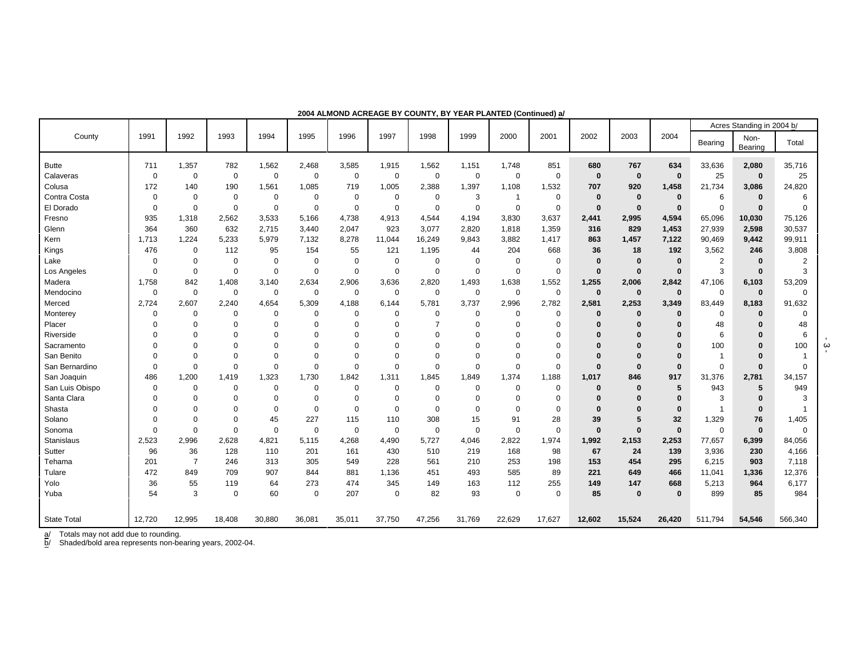|                    |             |                |             |             |                |             |             |             |             |             |             |              |              |             |                | Acres Standing in 2004 b/ |                |
|--------------------|-------------|----------------|-------------|-------------|----------------|-------------|-------------|-------------|-------------|-------------|-------------|--------------|--------------|-------------|----------------|---------------------------|----------------|
| County             | 1991        | 1992           | 1993        | 1994        | 1995           | 1996        | 1997        | 1998        | 1999        | 2000        | 2001        | 2002         | 2003         | 2004        | Bearing        | Non-<br>Bearing           | Total          |
| <b>Butte</b>       | 711         | 1,357          | 782         | 1,562       | 2,468          | 3,585       | 1,915       | 1,562       | 1,151       | 1,748       | 851         | 680          | 767          | 634         | 33,636         | 2,080                     | 35,716         |
| Calaveras          | 0           | $\mathbf 0$    | $\mathbf 0$ | $\Omega$    | $\mathbf 0$    | $\mathbf 0$ | $\mathbf 0$ | $\mathbf 0$ | $\mathbf 0$ | $\mathbf 0$ | 0           | $\mathbf 0$  | $\mathbf 0$  | $\bf{0}$    | 25             | $\bf{0}$                  | 25             |
| Colusa             | 172         | 140            | 190         | 1,561       | 1,085          | 719         | 1,005       | 2,388       | 1,397       | 1,108       | 1,532       | 707          | 920          | 1,458       | 21,734         | 3,086                     | 24,820         |
| Contra Costa       | $\Omega$    | $\Omega$       | $\mathbf 0$ | $\mathbf 0$ | 0              | $\mathbf 0$ | $\mathbf 0$ | 0           | 3           | $\mathbf 1$ | 0           | $\mathbf 0$  | $\mathbf 0$  | $\bf{0}$    | 6              | $\bf{0}$                  | 6              |
| El Dorado          | $\Omega$    | $\Omega$       | $\Omega$    | $\mathbf 0$ | $\Omega$       | $\mathbf 0$ | $\mathbf 0$ | $\mathbf 0$ | $\mathbf 0$ | $\mathbf 0$ | $\mathbf 0$ | $\bf{0}$     | $\mathbf{0}$ | $\bf{0}$    | $\Omega$       | $\bf{0}$                  | $\Omega$       |
| Fresno             | 935         | 1,318          | 2,562       | 3,533       | 5,166          | 4,738       | 4,913       | 4,544       | 4,194       | 3,830       | 3,637       | 2,441        | 2,995        | 4,594       | 65,096         | 10,030                    | 75,126         |
| Glenn              | 364         | 360            | 632         | 2,715       | 3,440          | 2,047       | 923         | 3,077       | 2,820       | 1,818       | 1,359       | 316          | 829          | 1,453       | 27,939         | 2,598                     | 30,537         |
| Kern               | 1,713       | 1,224          | 5,233       | 5,979       | 7,132          | 8,278       | 11,044      | 16,249      | 9,843       | 3,882       | 1,417       | 863          | 1,457        | 7,122       | 90,469         | 9,442                     | 99,911         |
| Kings              | 476         | $\Omega$       | 112         | 95          | 154            | 55          | 121         | 1,195       | 44          | 204         | 668         | 36           | 18           | 192         | 3,562          | 246                       | 3,808          |
| Lake               | 0           | $\mathbf 0$    | $\mathbf 0$ | $\mathbf 0$ | $\mathbf 0$    | $\mathbf 0$ | $\mathbf 0$ | $\mathbf 0$ | $\mathbf 0$ | $\mathbf 0$ | $\mathbf 0$ | $\bf{0}$     | $\mathbf 0$  | $\bf{0}$    | $\overline{2}$ | $\bf{0}$                  | $\overline{2}$ |
| Los Angeles        | $\Omega$    | $\mathbf 0$    | $\mathbf 0$ | $\Omega$    | $\overline{0}$ | $\mathbf 0$ | $\mathbf 0$ | $\mathbf 0$ | $\mathbf 0$ | $\mathbf 0$ | $\mathbf 0$ | $\bf{0}$     | $\mathbf 0$  | $\bf{0}$    | 3              | $\bf{0}$                  | 3              |
| Madera             | 1,758       | 842            | 1,408       | 3,140       | 2,634          | 2,906       | 3,636       | 2,820       | 1,493       | 1,638       | 1,552       | 1,255        | 2,006        | 2,842       | 47,106         | 6,103                     | 53,209         |
| Mendocino          | $\mathbf 0$ | $\mathbf 0$    | $\mathbf 0$ | $\mathbf 0$ | $\mathbf 0$    | $\mathbf 0$ | $\mathbf 0$ | $\mathbf 0$ | $\mathbf 0$ | $\mathbf 0$ | $\mathbf 0$ | $\mathbf 0$  | $\mathbf 0$  | $\bf{0}$    | $\mathbf 0$    | $\mathbf{0}$              | $\mathbf 0$    |
| Merced             | 2,724       | 2,607          | 2,240       | 4,654       | 5,309          | 4,188       | 6,144       | 5,781       | 3,737       | 2,996       | 2,782       | 2,581        | 2,253        | 3,349       | 83,449         | 8,183                     | 91,632         |
| Monterey           | 0           | $\Omega$       | $\mathbf 0$ | $\Omega$    | $\mathbf 0$    | $\mathbf 0$ | $\mathbf 0$ | $\Omega$    | $\mathbf 0$ | $\mathbf 0$ | 0           | $\Omega$     | $\bf{0}$     | $\bf{0}$    | $\Omega$       | $\Omega$                  | $\mathbf 0$    |
| Placer             | $\Omega$    | $\Omega$       | $\Omega$    | $\Omega$    | $\mathbf 0$    | $\mathbf 0$ | 0           | 7           | $\mathbf 0$ | $\Omega$    | $\mathbf 0$ | $\Omega$     | $\mathbf{0}$ | $\bf{0}$    | 48             | $\Omega$                  | 48             |
| Riverside          | $\Omega$    | $\Omega$       | $\Omega$    | $\Omega$    | $\Omega$       | $\Omega$    | 0           | $\Omega$    | $\Omega$    | $\Omega$    | 0           | $\Omega$     | $\mathbf{0}$ | $\bf{0}$    | 6              | $\Omega$                  | 6              |
| Sacramento         | $\Omega$    | $\Omega$       | $\Omega$    | $\Omega$    | $\mathbf 0$    | $\Omega$    | 0           | $\Omega$    | $\Omega$    | $\Omega$    | 0           | $\Omega$     | $\mathbf{0}$ | $\Omega$    | 100            | $\Omega$                  | 100            |
| San Benito         | O           | $\Omega$       | $\Omega$    | $\Omega$    | $\mathbf 0$    | $\Omega$    | 0           | $\Omega$    | $\Omega$    | $\Omega$    | 0           | $\Omega$     | $\Omega$     | $\Omega$    | $\overline{1}$ | $\Omega$                  | -1             |
| San Bernardino     | $\Omega$    | $\Omega$       | $\Omega$    | $\Omega$    | $\Omega$       | $\Omega$    | $\Omega$    | $\mathbf 0$ | $\mathbf 0$ | $\mathbf 0$ | $\Omega$    | $\Omega$     | $\Omega$     | $\bf{0}$    | $\Omega$       | $\bf{0}$                  | $\Omega$       |
| San Joaquin        | 486         | 1,200          | 1,419       | 1,323       | 1,730          | 1,842       | 1,311       | 1,845       | 1,849       | 1,374       | 1,188       | 1,017        | 846          | 917         | 31,376         | 2,781                     | 34,157         |
| San Luis Obispo    | $\mathbf 0$ | $\Omega$       | $\Omega$    | $\Omega$    | $\Omega$       | $\mathbf 0$ | 0           | $\mathbf 0$ | $\mathbf 0$ | $\mathbf 0$ | $\mathbf 0$ | $\Omega$     | $\Omega$     | 5           | 943            | 5                         | 949            |
| Santa Clara        | $\Omega$    | $\Omega$       | $\Omega$    | $\Omega$    | $\Omega$       | $\Omega$    | $\mathbf 0$ | $\Omega$    | $\Omega$    | $\Omega$    | 0           | $\bf{0}$     | $\bf{0}$     | $\bf{0}$    | 3              | $\Omega$                  | 3              |
| Shasta             | O           | $\Omega$       | $\Omega$    | $\Omega$    | $\Omega$       | $\mathbf 0$ | 0           | $\mathbf 0$ | $\mathbf 0$ | $\Omega$    | $\mathbf 0$ | $\bf{0}$     | $\bf{0}$     | $\bf{0}$    | $\overline{1}$ | $\bf{0}$                  |                |
| Solano             | $\Omega$    | $\Omega$       | 0           | 45          | 227            | 115         | 110         | 308         | 15          | 91          | 28          | 39           | 5            | 32          | 1,329          | 76                        | 1,405          |
| Sonoma             | $\mathbf 0$ | $\overline{0}$ | 0           | $\Omega$    | $\overline{0}$ | $\mathbf 0$ | $\mathbf 0$ | $\mathbf 0$ | $\mathbf 0$ | $\mathbf 0$ | $\mathbf 0$ | $\mathbf{0}$ | $\mathbf 0$  | $\mathbf 0$ | $\mathbf 0$    | $\mathbf{0}$              | $\Omega$       |
| Stanislaus         | 2,523       | 2,996          | 2,628       | 4,821       | 5,115          | 4,268       | 4,490       | 5,727       | 4,046       | 2,822       | 1,974       | 1,992        | 2,153        | 2,253       | 77,657         | 6,399                     | 84,056         |
| Sutter             | 96          | 36             | 128         | 110         | 201            | 161         | 430         | 510         | 219         | 168         | 98          | 67           | 24           | 139         | 3,936          | 230                       | 4,166          |
| Tehama             | 201         | $\overline{7}$ | 246         | 313         | 305            | 549         | 228         | 561         | 210         | 253         | 198         | 153          | 454          | 295         | 6,215          | 903                       | 7,118          |
| Tulare             | 472         | 849            | 709         | 907         | 844            | 881         | 1,136       | 451         | 493         | 585         | 89          | 221          | 649          | 466         | 11,041         | 1,336                     | 12,376         |
| Yolo               | 36          | 55             | 119         | 64          | 273            | 474         | 345         | 149         | 163         | 112         | 255         | 149          | 147          | 668         | 5,213          | 964                       | 6,177          |
| Yuba               | 54          | 3              | $\Omega$    | 60          | $\Omega$       | 207         | $\mathbf 0$ | 82          | 93          | $\mathbf 0$ | 0           | 85           | $\mathbf{0}$ | $\bf{0}$    | 899            | 85                        | 984            |
|                    |             |                |             |             |                |             |             |             |             |             |             |              |              |             |                |                           |                |
| <b>State Total</b> | 12,720      | 12,995         | 18,408      | 30,880      | 36,081         | 35,011      | 37,750      | 47,256      | 31,769      | 22,629      | 17,627      | 12,602       | 15,524       | 26,420      | 511,794        | 54,546                    | 566,340        |

**2004 ALMOND ACREAGE BY COUNTY, BY YEAR PLANTED (Continued) a/**

b/ Shaded/bold area represents non-bearing years, 2002-04.

 $\frac{1}{9}$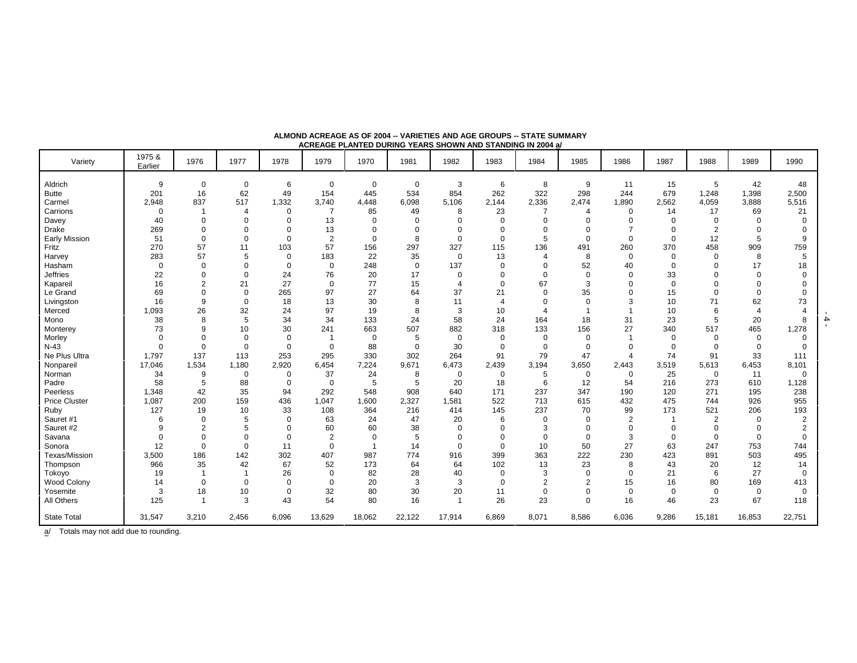| Variety              | 1975 &<br>Earlier | 1976           | 1977           | 1978        | 1979           | 1970           | 1981        | 1982           | 1983           | 1984           | 1985           | 1986           | 1987        | 1988           | 1989           | 1990           |
|----------------------|-------------------|----------------|----------------|-------------|----------------|----------------|-------------|----------------|----------------|----------------|----------------|----------------|-------------|----------------|----------------|----------------|
| Aldrich              | 9                 | $\mathbf 0$    | $\mathbf 0$    | 6           | $\mathbf 0$    | $\mathbf 0$    | 0           | 3              | 6              | 8              | 9              | 11             | 15          | 5              | 42             | 48             |
| <b>Butte</b>         | 201               | 16             | 62             | 49          | 154            | 445            | 534         | 854            | 262            | 322            | 298            | 244            | 679         | 1,248          | 1,398          | 2,500          |
| Carmel               | 2,948             | 837            | 517            | 1,332       | 3,740          | 4,448          | 6,098       | 5,106          | 2,144          | 2,336          | 2,474          | 1,890          | 2,562       | 4,059          | 3,888          | 5,516          |
| Carrions             | $\mathbf 0$       | -1             | $\overline{4}$ | 0           | 7              | 85             | 49          | 8              | 23             | 7              | $\overline{4}$ | $\mathbf 0$    | 14          | 17             | 69             | 21             |
| Davey                | 40                | $\Omega$       | $\Omega$       | $\Omega$    | 13             | $\Omega$       | $\Omega$    | $\Omega$       | $\mathbf 0$    | $\mathbf 0$    | $\Omega$       | $\Omega$       | $\Omega$    | $\Omega$       | $\Omega$       |                |
| Drake                | 269               | $\Omega$       | $\mathbf 0$    | $\mathbf 0$ | 13             | $\mathbf 0$    | $\mathbf 0$ | $\mathbf 0$    | $\mathbf 0$    | $\mathbf 0$    | $\Omega$       |                | $\Omega$    | $\overline{2}$ | $\mathbf 0$    |                |
| <b>Early Mission</b> | 51                | $\mathbf 0$    | $\mathbf 0$    | 0           | $\overline{c}$ | $\mathbf 0$    | 8           | $\mathbf 0$    | 0              | 5              | $\Omega$       | $\Omega$       | $\Omega$    | 12             | 5              | 9              |
| Fritz                | 270               | 57             | 11             | 103         | 57             | 156            | 297         | 327            | 115            | 136            | 491            | 260            | 370         | 458            | 909            | 759            |
| Harvey               | 283               | 57             | 5              | $\mathbf 0$ | 183            | 22             | 35          | $\mathbf 0$    | 13             | $\overline{4}$ | 8              | $\mathbf 0$    | $\mathbf 0$ | 0              | 8              | 5              |
| Hasham               | $\mathbf 0$       | $\Omega$       | $\Omega$       | $\Omega$    | $\mathbf 0$    | 248            | $\mathbf 0$ | 137            | 0              | $\mathbf 0$    | 52             | 40             | $\Omega$    | $\Omega$       | 17             | 18             |
| <b>Jeffries</b>      | 22                | 0              | $\Omega$       | 24          | 76             | 20             | 17          | $\mathbf 0$    | $\mathbf 0$    | $\mathbf 0$    | $\mathbf 0$    | $\mathbf 0$    | 33          | $\Omega$       | $\Omega$       |                |
| Kapareil             | 16                | $\overline{2}$ | 21             | 27          | $\mathbf 0$    | 77             | 15          | $\overline{4}$ | $\mathbf 0$    | 67             | 3              | $\Omega$       | $\Omega$    | $\Omega$       | $\Omega$       |                |
| Le Grand             | 69                | $\Omega$       | $\Omega$       | 265         | 97             | 27             | 64          | 37             | 21             | $\mathbf 0$    | 35             | $\Omega$       | 15          | $\Omega$       | $\mathbf 0$    |                |
| Livingston           | 16                | 9              | $\Omega$       | 18          | 13             | 30             | 8           | 11             | $\overline{4}$ | 0              | $\Omega$       | 3              | 10          | 71             | 62             | 73             |
| Merced               | 1,093             | 26             | 32             | 24          | 97             | 19             | 8           | 3              | 10             | 4              |                |                | 10          | 6              | $\overline{4}$ |                |
| Mono                 | 38                | 8              | 5              | 34          | 34             | 133            | 24          | 58             | 24             | 164            | 18             | 31             | 23          | 5              | 20             | 8              |
| Monterey             | 73                | 9              | 10             | 30          | 241            | 663            | 507         | 882            | 318            | 133            | 156            | 27             | 340         | 517            | 465            | 1,278          |
| Morley               | $\mathbf 0$       | $\Omega$       | $\Omega$       | $\Omega$    | $\overline{1}$ | $\mathbf 0$    | 5           | $\mathbf 0$    | $\mathbf 0$    | $\mathbf 0$    | $\mathbf 0$    | $\overline{1}$ | $\mathbf 0$ | $\Omega$       | $\mathbf 0$    | $\Omega$       |
| $N-43$               | $\mathbf 0$       | $\mathbf 0$    | $\mathbf 0$    | $\mathbf 0$ | $\mathbf 0$    | 88             | $\mathbf 0$ | 30             | 0              | $\mathbf 0$    | $\mathbf 0$    | $\mathbf 0$    | $\mathbf 0$ | $\Omega$       | $\mathbf 0$    |                |
| Ne Plus Ultra        | 1,797             | 137            | 113            | 253         | 295            | 330            | 302         | 264            | 91             | 79             | 47             | $\overline{4}$ | 74          | 91             | 33             | 111            |
| Nonpareil            | 17,046            | 1,534          | 1,180          | 2,920       | 6,454          | 7,224          | 9,671       | 6,473          | 2,439          | 3,194          | 3,650          | 2,443          | 3,519       | 5,613          | 6,453          | 8,101          |
| Norman               | 34                | 9              | 0              | 0           | 37             | 24             | 8           | 0              | 0              | 5              | 0              | 0              | 25          | $\mathbf 0$    | 11             | 0              |
| Padre                | 58                | 5              | 88             | $\mathbf 0$ | $\mathbf 0$    | 5              | 5           | 20             | 18             | 6              | 12             | 54             | 216         | 273            | 610            | 1,128          |
| Peerless             | 1,348             | 42             | 35             | 94          | 292            | 548            | 908         | 640            | 171            | 237            | 347            | 190            | 120         | 271            | 195            | 238            |
| <b>Price Cluster</b> | 1,087             | 200            | 159            | 436         | 1,047          | 1,600          | 2,327       | 1,581          | 522            | 713            | 615            | 432            | 475         | 744            | 926            | 955            |
| Ruby                 | 127               | 19             | 10             | 33          | 108            | 364            | 216         | 414            | 145            | 237            | 70             | 99             | 173         | 521            | 206            | 193            |
| Sauret #1            | 6                 | $\mathbf 0$    | 5              | $\mathbf 0$ | 63             | 24             | 47          | 20             | 6              | 0              | $\mathbf 0$    | 2              |             | $\overline{2}$ | $\Omega$       | $\overline{2}$ |
| Sauret #2            | 9                 | $\overline{2}$ | 5              | $\Omega$    | 60             | 60             | 38          | $\mathbf 0$    | 0              | 3              | $\Omega$       | $\mathbf 0$    | $\Omega$    | $\Omega$       | $\Omega$       |                |
| Savana               | $\Omega$          | $\Omega$       | $\Omega$       | $\mathbf 0$ | $\overline{2}$ | $\mathbf 0$    | 5           | $\Omega$       | 0              | $\mathbf 0$    | $\mathbf 0$    | 3              | $\Omega$    | $\mathbf 0$    | $\Omega$       | $\Omega$       |
| Sonora               | 12                | $\mathbf 0$    | $\Omega$       | 11          | $\mathbf 0$    | $\overline{1}$ | 14          | $\Omega$       | $\mathsf 0$    | 10             | 50             | 27             | 63          | 247            | 753            | 744            |
| Texas/Mission        | 3,500             | 186            | 142            | 302         | 407            | 987            | 774         | 916            | 399            | 363            | 222            | 230            | 423         | 891            | 503            | 495            |
| Thompson             | 966               | 35             | 42             | 67          | 52             | 173            | 64          | 64             | 102            | 13             | 23             | 8              | 43          | 20             | 12             | 14             |
| Tokoyo               | 19                | $\overline{1}$ |                | 26          | $\mathbf 0$    | 82             | 28          | 40             | $\mathbf 0$    | 3              | $\mathbf 0$    | $\mathbf 0$    | 21          | 6              | 27             | $\Omega$       |
| Wood Colony          | 14                | $\mathbf 0$    | $\Omega$       | $\Omega$    | $\mathbf 0$    | 20             | 3           | 3              | 0              | $\overline{2}$ | $\overline{2}$ | 15             | 16          | 80             | 169            | 413            |
| Yosemite             | 3                 | 18             | 10             | 0           | 32             | 80             | 30          | 20             | 11             | $\mathbf 0$    | $\mathbf 0$    | 0              | $\mathbf 0$ | 0              | $\mathbf 0$    | $\mathbf 0$    |
| All Others           | 125               | $\overline{1}$ | 3              | 43          | 54             | 80             | 16          | $\overline{1}$ | 26             | 23             | $\Omega$       | 16             | 46          | 23             | 67             | 118            |
| <b>State Total</b>   | 31,547            | 3,210          | 2,456          | 6,096       | 13,629         | 18,062         | 22,122      | 17,914         | 6,869          | 8,071          | 8,586          | 6,036          | 9,286       | 15,181         | 16,853         | 22,751         |

**ALMOND ACREAGE AS OF 2004 -- VARIETIES AND AGE GROUPS -- STATE SUMMARY ACREAGE PLANTED DURING YEARS SHOWN AND STANDING IN 2004 a/**

- 4 -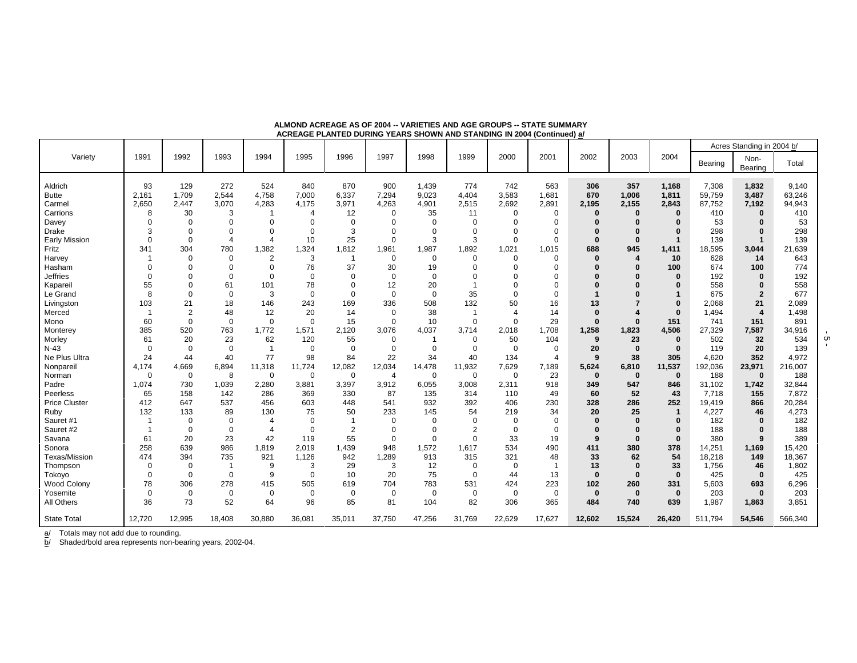|                      |                         |             |                |                |             |                |             |             |                |             |                |             |              |              |         | Acres Standing in 2004 b/ |         |
|----------------------|-------------------------|-------------|----------------|----------------|-------------|----------------|-------------|-------------|----------------|-------------|----------------|-------------|--------------|--------------|---------|---------------------------|---------|
| Varietv              | 1991                    | 1992        | 1993           | 1994           | 1995        | 1996           | 1997        | 1998        | 1999           | 2000        | 2001           | 2002        | 2003         | 2004         | Bearing | Non-<br>Bearing           | Total   |
| Aldrich              | 93                      | 129         | 272            | 524            | 840         | 870            | 900         | 1,439       | 774            | 742         | 563            | 306         | 357          | 1,168        | 7,308   | 1,832                     | 9,140   |
| <b>Butte</b>         | 2,161                   | 1,709       | 2,544          | 4,758          | 7,000       | 6,337          | 7,294       | 9,023       | 4,404          | 3,583       | 1,681          | 670         | 1,006        | 1,811        | 59,759  | 3,487                     | 63,246  |
| Carmel               | 2,650                   | 2,447       | 3,070          | 4,283          | 4,175       | 3,971          | 4,263       | 4,901       | 2,515          | 2,692       | 2,891          | 2,195       | 2,155        | 2,843        | 87,752  | 7,192                     | 94,943  |
| Carrions             | 8                       | 30          | 3              |                | 4           | 12             | 0           | 35          | 11             | $\mathbf 0$ | 0              | $\Omega$    | $\Omega$     | $\Omega$     | 410     | $\bf{0}$                  | 410     |
| Davey                | $\Omega$                | 0           | $\Omega$       | $\Omega$       | $\Omega$    | $\Omega$       | $\Omega$    | $\Omega$    | $\Omega$       | $\Omega$    | $\Omega$       |             | $\Omega$     | O            | 53      | ŋ                         | 53      |
| Drake                | 3                       | 0           | $\Omega$       | $\Omega$       | $\Omega$    | 3              | $\Omega$    | $\Omega$    | $\Omega$       | $\Omega$    | $\Omega$       |             |              | 0            | 298     | $\bf{0}$                  | 298     |
| <b>Early Mission</b> | $\Omega$                | 0           | $\overline{4}$ | $\overline{4}$ | 10          | 25             | $\mathbf 0$ | 3           | 3              | $\Omega$    | $\mathbf 0$    | $\Omega$    | $\Omega$     |              | 139     | $\mathbf 1$               | 139     |
| Fritz                | 341                     | 304         | 780            | 1,382          | 1,324       | 1,812          | 1,961       | 1,987       | 1,892          | 1,021       | 1,015          | 688         | 945          | 1,411        | 18,595  | 3,044                     | 21,639  |
| Harvey               |                         | $\Omega$    | $\Omega$       | $\overline{2}$ | 3           | -1             | 0           | $\mathbf 0$ | $\Omega$       | $\Omega$    | $\Omega$       | $\Omega$    |              | 10           | 628     | 14                        | 643     |
| Hasham               | $\Omega$                | 0           | $\Omega$       | $\Omega$       | 76          | 37             | 30          | 19          | $\Omega$       | $\Omega$    | $\Omega$       |             |              | 100          | 674     | 100                       | 774     |
| <b>Jeffries</b>      | $\Omega$                | 0           | $\Omega$       | $\Omega$       | $\mathbf 0$ | $\Omega$       | $\mathbf 0$ | $\mathbf 0$ | $\Omega$       | $\Omega$    | $\Omega$       |             |              | $\Omega$     | 192     | O                         | 192     |
| Kapareil             | 55                      | 0           | 61             | 101            | 78          | $\Omega$       | 12          | 20          |                |             | O              |             |              |              | 558     | 0                         | 558     |
| Le Grand             | 8                       | 0           | $\mathbf 0$    | 3              | $\mathbf 0$ | $\mathbf 0$    | $\mathbf 0$ | $\mathbf 0$ | 35             | $\Omega$    | $\Omega$       |             |              |              | 675     | $\overline{2}$            | 677     |
| Livingston           | 103                     | 21          | 18             | 146            | 243         | 169            | 336         | 508         | 132            | 50          | 16             | 13          |              | 0            | 2,068   | 21                        | 2,089   |
| Merced               | $\overline{\mathbf{1}}$ | 2           | 48             | 12             | 20          | 14             | 0           | 38          |                | Δ           | 14             | $\Omega$    |              | $\Omega$     | 1,494   | $\overline{4}$            | 1,498   |
| Mono                 | 60                      | 0           | $\mathbf 0$    | $\mathbf 0$    | $\mathbf 0$ | 15             | $\Omega$    | 10          | $\mathbf 0$    | $\Omega$    | 29             | $\Omega$    | $\Omega$     | 151          | 741     | 151                       | 891     |
| Monterey             | 385                     | 520         | 763            | 1,772          | 1,571       | 2,120          | 3,076       | 4,037       | 3,714          | 2,018       | 1,708          | 1,258       | 1,823        | 4,506        | 27,329  | 7,587                     | 34,916  |
| Morley               | 61                      | 20          | 23             | 62             | 120         | 55             | 0           | -1          | 0              | 50          | 104            | 9           | 23           | $\bf{0}$     | 502     | 32                        | 534     |
| $N-43$               | $\mathbf 0$             | $\mathbf 0$ | $\mathbf 0$    | $\overline{1}$ | 0           | $\mathbf 0$    | $\Omega$    | $\mathbf 0$ | $\Omega$       | $\Omega$    | $\mathbf 0$    | 20          | $\bf{0}$     | $\bf{0}$     | 119     | 20                        | 139     |
| Ne Plus Ultra        | 24                      | 44          | 40             | 77             | 98          | 84             | 22          | 34          | 40             | 134         | $\overline{4}$ | 9           | 38           | 305          | 4,620   | 352                       | 4,972   |
| Nonparei             | 4,174                   | 4,669       | 6,894          | 11,318         | 11,724      | 12,082         | 12,034      | 14,478      | 11,932         | 7,629       | 7,189          | 5,624       | 6,810        | 11,537       | 192,036 | 23,971                    | 216,007 |
| Norman               | $\mathbf 0$             | $\mathbf 0$ | 8              | $\mathbf 0$    | 0           | $\mathbf 0$    | 4           | $\mathbf 0$ | $\mathbf 0$    | $\mathbf 0$ | 23             | $\bf{0}$    | $\mathbf 0$  | $\bf{0}$     | 188     | $\mathbf 0$               | 188     |
| Padre                | 1.074                   | 730         | 1,039          | 2,280          | 3,881       | 3,397          | 3,912       | 6,055       | 3,008          | 2,311       | 918            | 349         | 547          | 846          | 31,102  | 1,742                     | 32,844  |
| Peerless             | 65                      | 158         | 142            | 286            | 369         | 330            | 87          | 135         | 314            | 110         | 49             | 60          | 52           | 43           | 7,718   | 155                       | 7,872   |
| <b>Price Cluster</b> | 412                     | 647         | 537            | 456            | 603         | 448            | 541         | 932         | 392            | 406         | 230            | 328         | 286          | 252          | 19,419  | 866                       | 20,284  |
| Ruby                 | 132                     | 133         | 89             | 130            | 75          | 50             | 233         | 145         | 54             | 219         | 34             | 20          | 25           | 1            | 4,227   | 46                        | 4,273   |
| Sauret #1            |                         | $\Omega$    | 0              | Δ              | 0           |                | $\Omega$    | $\Omega$    | $\Omega$       | 0           | $\mathbf 0$    | $\Omega$    | $\Omega$     | O            | 182     | $\Omega$                  | 182     |
| Sauret #2            | -1                      | $\Omega$    | 0              |                | $\Omega$    | $\overline{2}$ | 0           | 0           | $\overline{2}$ | $\mathbf 0$ | $\mathbf 0$    | $\Omega$    | $\Omega$     | 0            | 188     | O                         | 188     |
| Savana               | 61                      | 20          | 23             | 42             | 119         | 55             | $\mathbf 0$ | $\Omega$    | $\Omega$       | 33          | 19             | 9           | $\bf{0}$     | $\bf{0}$     | 380     | 9                         | 389     |
| Sonora               | 258                     | 639         | 986            | 1,819          | 2,019       | 1,439          | 948         | 1,572       | 1,617          | 534         | 490            | 411         | 380          | 378          | 14,251  | 1,169                     | 15,420  |
| Texas/Mission        | 474                     | 394         | 735            | 921            | 1,126       | 942            | 1,289       | 913         | 315            | 321         | 48             | 33          | 62           | 54           | 18,218  | 149                       | 18,367  |
| Thompson             | $\mathbf 0$             | $\Omega$    | $\overline{1}$ | 9              | 3           | 29             | 3           | 12          | $\mathbf 0$    | $\Omega$    | $\overline{1}$ | 13          | $\bf{0}$     | 33           | 1,756   | 46                        | 1,802   |
| Tokoyo               | $\Omega$                | $\Omega$    | $\mathbf 0$    | 9              | $\Omega$    | 10             | 20          | 75          | $\Omega$       | 44          | 13             | $\bf{0}$    | $\bf{0}$     | $\mathbf{0}$ | 425     | $\bf{0}$                  | 425     |
| <b>Wood Colony</b>   | 78                      | 306         | 278            | 415            | 505         | 619            | 704         | 783         | 531            | 424         | 223            | 102         | 260          | 331          | 5,603   | 693                       | 6,296   |
| Yosemite             | $\mathbf 0$             | 0           | $\mathbf 0$    | $\mathbf 0$    | $\mathbf 0$ | $\mathbf 0$    | $\mathbf 0$ | $\mathbf 0$ | $\mathbf 0$    | $\mathbf 0$ | $\mathbf 0$    | $\mathbf 0$ | $\mathbf{0}$ | $\mathbf 0$  | 203     | $\bf{0}$                  | 203     |
| All Others           | 36                      | 73          | 52             | 64             | 96          | 85             | 81          | 104         | 82             | 306         | 365            | 484         | 740          | 639          | 1.987   | 1,863                     | 3,851   |
| <b>State Total</b>   | 12,720                  | 12.995      | 18.408         | 30.880         | 36.081      | 35.011         | 37.750      | 47.256      | 31,769         | 22,629      | 17.627         | 12.602      | 15,524       | 26.420       | 511.794 | 54,546                    | 566,340 |

**ALMOND ACREAGE AS OF 2004 -- VARIETIES AND AGE GROUPS -- STATE SUMMARYACREAGE PLANTED DURING YEARS SHOWN AND STANDING IN 2004 (Continued) a/**

b/ Shaded/bold area represents non-bearing years, 2002-04.

- 5 -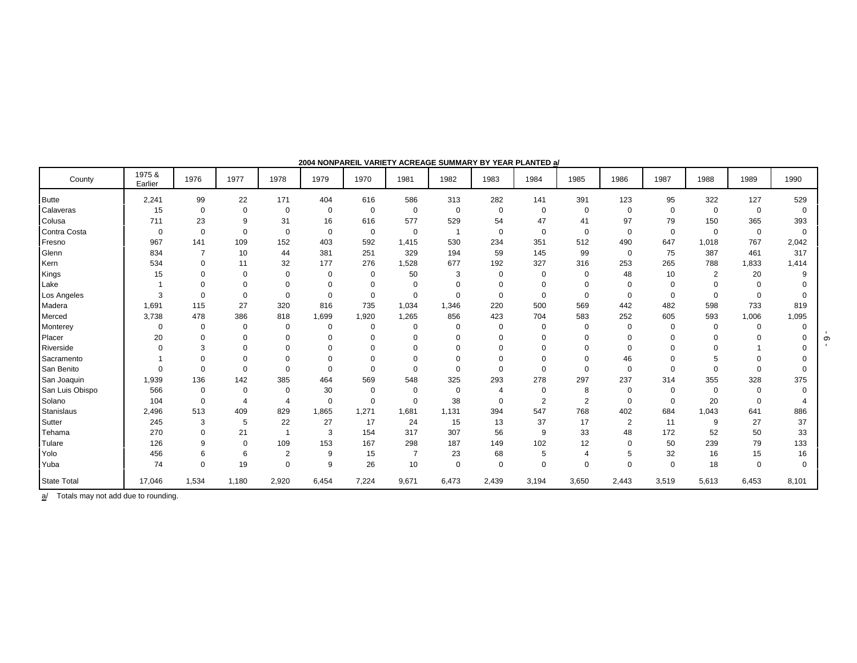| County             | 1975 &<br>Earlier | 1976           | 1977        | 1978                  | 1979        | 1970        | 1981           | 1982        | 1983        | 1984           | 1985           | 1986        | 1987        | 1988        | 1989     | 1990     |
|--------------------|-------------------|----------------|-------------|-----------------------|-------------|-------------|----------------|-------------|-------------|----------------|----------------|-------------|-------------|-------------|----------|----------|
| <b>Butte</b>       | 2,241             | 99             | 22          | 171                   | 404         | 616         | 586            | 313         | 282         | 141            | 391            | 123         | 95          | 322         | 127      | 529      |
| Calaveras          | 15                | 0              | $\Omega$    | 0                     | $\mathbf 0$ | 0           | $\mathbf 0$    | 0           | 0           | 0              | 0              | $\Omega$    | 0           | $\mathbf 0$ | 0        | $\Omega$ |
| Colusa             | 711               | 23             | 9           | 31                    | 16          | 616         | 577            | 529         | 54          | 47             | 41             | 97          | 79          | 150         | 365      | 393      |
| Contra Costa       | $\overline{0}$    | $\mathbf 0$    | $\Omega$    | $\mathbf 0$           | 0           | $\mathbf 0$ | $\Omega$       |             | $\mathbf 0$ | $\mathbf 0$    | 0              | $\Omega$    | $\mathbf 0$ | $\Omega$    | 0        | $\Omega$ |
| Fresno             | 967               | 141            | 109         | 152                   | 403         | 592         | 1,415          | 530         | 234         | 351            | 512            | 490         | 647         | 1,018       | 767      | 2,042    |
| Glenn              | 834               | $\overline{7}$ | 10          | 44                    | 381         | 251         | 329            | 194         | 59          | 145            | 99             | $\mathbf 0$ | 75          | 387         | 461      | 317      |
| Kern               | 534               | 0              | 11          | 32                    | 177         | 276         | 1,528          | 677         | 192         | 327            | 316            | 253         | 265         | 788         | 1,833    | 1,414    |
| Kings              | 15                | $\Omega$       | $\Omega$    | $\Omega$              | $\Omega$    | 0           | 50             | 3           | $\mathbf 0$ | 0              | 0              | 48          | 10          | 2           | 20       | q        |
| Lake               |                   |                | $\Omega$    |                       | $\Omega$    | $\Omega$    |                | 0           | $\mathbf 0$ | 0              | 0              | $\Omega$    | $\Omega$    |             |          |          |
| Los Angeles        | 3                 | $\Omega$       | $\Omega$    | $\Omega$              | $\Omega$    | $\mathbf 0$ | $\mathbf 0$    | $\Omega$    | 0           | $\mathbf 0$    | 0              | $\Omega$    | $\Omega$    | $\Omega$    | $\Omega$ |          |
| Madera             | 1,691             | 115            | 27          | 320                   | 816         | 735         | 1,034          | 1,346       | 220         | 500            | 569            | 442         | 482         | 598         | 733      | 819      |
| Merced             | 3,738             | 478            | 386         | 818                   | 1,699       | 1,920       | 1,265          | 856         | 423         | 704            | 583            | 252         | 605         | 593         | 1,006    | 1,095    |
| Monterey           | $\mathbf 0$       | 0              | $\mathbf 0$ | $\mathbf 0$           | $\mathbf 0$ | 0           | $\Omega$       | $\mathbf 0$ | $\mathbf 0$ | 0              | 0              | $\Omega$    | 0           | $\Omega$    | $\Omega$ |          |
| Placer             | 20                | $\Omega$       | $\Omega$    | $\Omega$              | $\Omega$    | $\Omega$    | $\Omega$       | $\Omega$    | $\mathbf 0$ | $\Omega$       |                |             | $\Omega$    |             |          |          |
| Riverside          | $\Omega$          | 3              | $\Omega$    | $\Omega$              | $\Omega$    | $\Omega$    |                | $\Omega$    | $\Omega$    |                |                |             |             |             |          |          |
| Sacramento         |                   | $\Omega$       | $\Omega$    | 0                     | $\Omega$    | $\Omega$    |                | $\Omega$    | $\Omega$    | $\Omega$       | 0              | 46          | $\Omega$    |             |          |          |
| San Benito         | $\Omega$          | $\Omega$       | $\Omega$    | $\Omega$              | $\Omega$    | $\Omega$    | $\Omega$       | $\mathbf 0$ | $\mathbf 0$ | $\Omega$       | 0              | $\Omega$    | $\Omega$    |             |          |          |
| San Joaquin        | 1,939             | 136            | 142         | 385                   | 464         | 569         | 548            | 325         | 293         | 278            | 297            | 237         | 314         | 355         | 328      | 375      |
| San Luis Obispo    | 566               | $\Omega$       | $\Omega$    | $\Omega$              | 30          | 0           | $\Omega$       | $\mathbf 0$ | 4           | $\mathbf 0$    | 8              | $\Omega$    | $\Omega$    | $\Omega$    | 0        |          |
| Solano             | 104               | $\Omega$       | 4           | $\boldsymbol{\Delta}$ | 0           | $\Omega$    | $\Omega$       | 38          | $\mathbf 0$ | $\overline{2}$ | $\overline{2}$ | $\Omega$    | $\Omega$    | 20          | 0        |          |
| <b>Stanislaus</b>  | 2,496             | 513            | 409         | 829                   | 1.865       | 1,271       | 1,681          | 1,131       | 394         | 547            | 768            | 402         | 684         | 1,043       | 641      | 886      |
| Sutter             | 245               | 3              | 5           | 22                    | 27          | 17          | 24             | 15          | 13          | 37             | 17             | 2           | 11          | 9           | 27       | 37       |
| Tehama             | 270               | $\mathbf 0$    | 21          |                       | 3           | 154         | 317            | 307         | 56          | 9              | 33             | 48          | 172         | 52          | 50       | 33       |
| Tulare             | 126               | 9              | $\Omega$    | 109                   | 153         | 167         | 298            | 187         | 149         | 102            | 12             | $\Omega$    | 50          | 239         | 79       | 133      |
| Yolo               | 456               | 6              | 6           | $\overline{2}$        | 9           | 15          | $\overline{7}$ | 23          | 68          | 5              | $\overline{4}$ | 5           | 32          | 16          | 15       | 16       |
| Yuba               | 74                | $\Omega$       | 19          | $\Omega$              | 9           | 26          | 10             | $\mathbf 0$ | $\mathbf 0$ | $\mathbf 0$    | $\mathbf 0$    | $\Omega$    | $\Omega$    | 18          | $\Omega$ |          |
| <b>State Total</b> | 17,046            | 1,534          | 1,180       | 2,920                 | 6,454       | 7,224       | 9,671          | 6,473       | 2,439       | 3,194          | 3,650          | 2,443       | 3,519       | 5,613       | 6,453    | 8,101    |

**2004 NONPAREIL VARIETY ACREAGE SUMMARY BY YEAR PLANTED a/**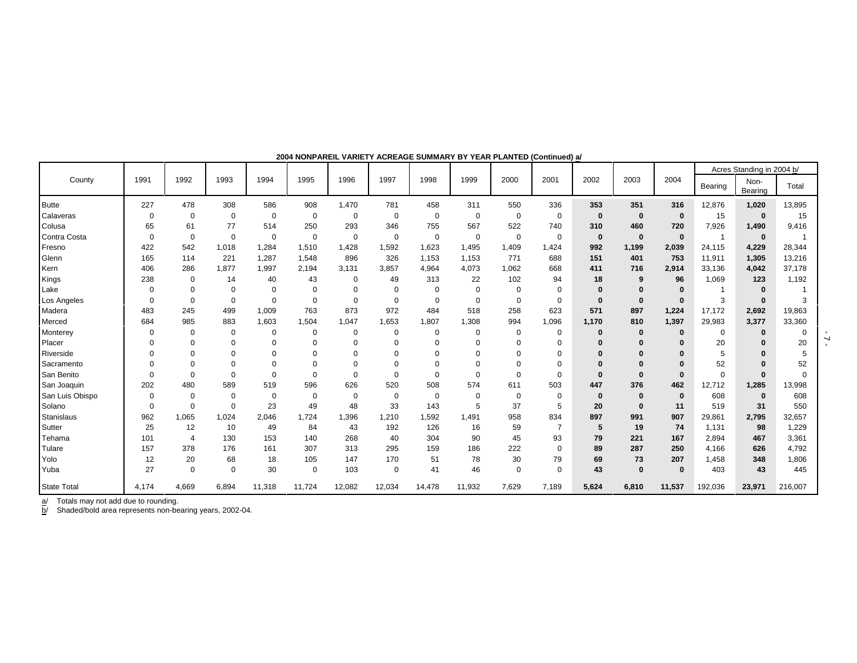|                    |                |                |             |                |             |             |             |             |             |                |             |          |              |             |          | Acres Standing in 2004 b/ |          |
|--------------------|----------------|----------------|-------------|----------------|-------------|-------------|-------------|-------------|-------------|----------------|-------------|----------|--------------|-------------|----------|---------------------------|----------|
| County             | 1991           | 1992           | 1993        | 1994           | 1995        | 1996        | 1997        | 1998        | 1999        | 2000           | 2001        | 2002     | 2003         | 2004        | Bearing  | Non-<br>Bearing           | Total    |
| <b>Butte</b>       | 227            | 478            | 308         | 586            | 908         | 1,470       | 781         | 458         | 311         | 550            | 336         | 353      | 351          | 316         | 12,876   | 1,020                     | 13,895   |
| Calaveras          | $\Omega$       | $\Omega$       | $\mathbf 0$ | $\overline{0}$ | 0           | 0           | $\mathbf 0$ | 0           | $\Omega$    | $\Omega$       | $\mathbf 0$ | $\bf{0}$ | $\bf{0}$     | $\bf{0}$    | 15       | $\bf{0}$                  | 15       |
| Colusa             | 65             | 61             | 77          | 514            | 250         | 293         | 346         | 755         | 567         | 522            | 740         | 310      | 460          | 720         | 7,926    | 1,490                     | 9,416    |
| Contra Costa       | $\Omega$       | $\mathbf 0$    | $\mathbf 0$ | $\overline{0}$ | 0           | 0           | $\mathbf 0$ | 0           | $\mathbf 0$ | 0              | $\mathbf 0$ | $\bf{0}$ | $\mathbf 0$  | $\bf{0}$    |          | $\mathbf 0$               |          |
| Fresno             | 422            | 542            | 1,018       | 1,284          | 1,510       | 1,428       | 1,592       | 1,623       | 1,495       | 1,409          | 1,424       | 992      | 1,199        | 2,039       | 24,115   | 4,229                     | 28,344   |
| Glenn              | 165            | 114            | 221         | 1,287          | 1,548       | 896         | 326         | 1.153       | 1,153       | 771            | 688         | 151      | 401          | 753         | 11,911   | 1,305                     | 13,216   |
| Kern               | 406            | 286            | 1,877       | 1,997          | 2,194       | 3,131       | 3,857       | 4.964       | 4.073       | 1,062          | 668         | 411      | 716          | 2,914       | 33,136   | 4,042                     | 37,178   |
| Kings              | 238            | 0              | 14          | 40             | 43          | 0           | 49          | 313         | 22          | 102            | 94          | 18       |              | 96          | 1,069    | 123                       | 1,192    |
| Lake               | $\Omega$       | $\Omega$       | $\Omega$    | $\mathbf 0$    | $\Omega$    | $\Omega$    | $\mathbf 0$ | $\Omega$    | $\Omega$    | $\mathbf 0$    | $\mathbf 0$ | 0        |              | $\bf{0}$    |          |                           |          |
| Los Angeles        | 0              | $\Omega$       | 0           | $\mathbf 0$    | $\Omega$    | 0           | $\mathbf 0$ | $\mathbf 0$ | 0           | $\mathbf 0$    | $\mathbf 0$ | $\bf{0}$ | $\mathbf 0$  | $\bf{0}$    | 3        | $\mathbf{0}$              | 3        |
| Madera             | 483            | 245            | 499         | 1,009          | 763         | 873         | 972         | 484         | 518         | 258            | 623         | 571      | 897          | 1,224       | 17,172   | 2,692                     | 19,863   |
| Merced             | 684            | 985            | 883         | 1,603          | 1,504       | 1,047       | 1,653       | 1,807       | 1,308       | 994            | 1,096       | 1,170    | 810          | 1,397       | 29,983   | 3,377                     | 33,360   |
| Monterey           | $\Omega$       | $\Omega$       | $\Omega$    | $\Omega$       | $\Omega$    | $\Omega$    | $\mathbf 0$ | $\Omega$    | 0           | $\Omega$       | 0           | 0        | 0            | $\bf{0}$    | $\Omega$ | $\bf{0}$                  | $\Omega$ |
| Placer             | $\Omega$       | $\Omega$       | $\Omega$    | $\Omega$       | $\Omega$    |             | $\Omega$    | $\Omega$    | $\Omega$    | $\Omega$       | $\mathbf 0$ | $\Omega$ |              | $\Omega$    | 20       |                           | 20       |
| Riverside          | O              | $\Omega$       | $\Omega$    | $\Omega$       | $\Omega$    |             |             | $\Omega$    | $\Omega$    | $\Omega$       | $\Omega$    |          |              | $\Omega$    | 5        | $\Omega$                  | 5        |
| Sacramento         | 0              |                | $\Omega$    | $\Omega$       | $\Omega$    |             |             |             | 0           | $\Omega$       | $\Omega$    |          |              | $\Omega$    | 52       | $\Omega$                  | 52       |
| San Benito         | 0              | $\Omega$       | $\Omega$    | $\Omega$       | $\Omega$    | $\Omega$    | $\Omega$    | $\Omega$    | $\Omega$    | $\Omega$       | $\Omega$    | $\bf{0}$ | $\mathbf{0}$ | $\Omega$    | $\Omega$ | $\Omega$                  | $\Omega$ |
| San Joaquin        | 202            | 480            | 589         | 519            | 596         | 626         | 520         | 508         | 574         | 611            | 503         | 447      | 376          | 462         | 12,712   | 1,285                     | 13,998   |
| San Luis Obispo    | 0              | $\mathbf 0$    | $\mathbf 0$ | $\overline{0}$ | $\mathbf 0$ | $\mathbf 0$ | $\mathbf 0$ | $\mathbf 0$ | 0           | $\overline{0}$ | $\mathbf 0$ | $\bf{0}$ | $\bf{0}$     | $\mathbf 0$ | 608      | $\bf{0}$                  | 608      |
| Solano             | $\overline{0}$ | $\Omega$       | $\mathbf 0$ | 23             | 49          | 48          | 33          | 143         | 5           | 37             | 5           | 20       | $\bf{0}$     | 11          | 519      | 31                        | 550      |
| Stanislaus         | 962            | 1,065          | 1,024       | 2,046          | 1,724       | 1,396       | 1,210       | 1,592       | 1,491       | 958            | 834         | 897      | 991          | 907         | 29,861   | 2,795                     | 32,657   |
| Sutter             | 25             | 12             | 10          | 49             | 84          | 43          | 192         | 126         | 16          | 59             | 7           | 5        | 19           | 74          | 1,131    | 98                        | 1,229    |
| Tehama             | 101            | $\overline{4}$ | 130         | 153            | 140         | 268         | 40          | 304         | 90          | 45             | 93          | 79       | 221          | 167         | 2,894    | 467                       | 3,361    |
| Tulare             | 157            | 378            | 176         | 161            | 307         | 313         | 295         | 159         | 186         | 222            | $\Omega$    | 89       | 287          | 250         | 4,166    | 626                       | 4,792    |
| Yolo               | 12             | 20             | 68          | 18             | 105         | 147         | 170         | 51          | 78          | 30             | 79          | 69       | 73           | 207         | 1,458    | 348                       | 1,806    |
| Yuba               | 27             | $\Omega$       | $\Omega$    | 30             | $\mathbf 0$ | 103         | $\mathbf 0$ | 41          | 46          | $\mathbf 0$    | $\Omega$    | 43       | $\bf{0}$     | $\bf{0}$    | 403      | 43                        | 445      |
| <b>State Total</b> | 4.174          | 4.669          | 6,894       | 11,318         | 11,724      | 12,082      | 12,034      | 14,478      | 11,932      | 7,629          | 7,189       | 5,624    | 6,810        | 11,537      | 192,036  | 23,971                    | 216,007  |

#### **2004 NONPAREIL VARIETY ACREAGE SUMMARY BY YEAR PLANTED (Continued) a/**

a/ Totals may not add due to rounding.

b/ Shaded/bold area represents non-bearing years, 2002-04.

 $-7 -$